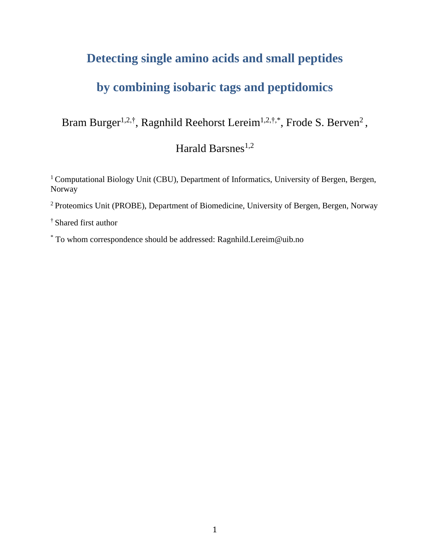# **Detecting single amino acids and small peptides**

# **by combining isobaric tags and peptidomics**

Bram Burger<sup>1,2,†</sup>, Ragnhild Reehorst Lereim<sup>1,2,†,\*</sup>, Frode S. Berven<sup>2</sup>,

Harald Barsnes<sup>1,2</sup>

<sup>1</sup> Computational Biology Unit (CBU), Department of Informatics, University of Bergen, Bergen, Norway

<sup>2</sup> Proteomics Unit (PROBE), Department of Biomedicine, University of Bergen, Bergen, Norway

† Shared first author

\* To whom correspondence should be addressed: Ragnhild.Lereim@uib.no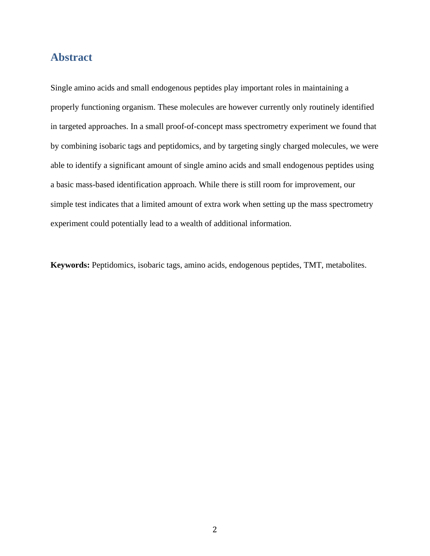## **Abstract**

Single amino acids and small endogenous peptides play important roles in maintaining a properly functioning organism. These molecules are however currently only routinely identified in targeted approaches. In a small proof-of-concept mass spectrometry experiment we found that by combining isobaric tags and peptidomics, and by targeting singly charged molecules, we were able to identify a significant amount of single amino acids and small endogenous peptides using a basic mass-based identification approach. While there is still room for improvement, our simple test indicates that a limited amount of extra work when setting up the mass spectrometry experiment could potentially lead to a wealth of additional information.

**Keywords:** Peptidomics, isobaric tags, amino acids, endogenous peptides, TMT, metabolites.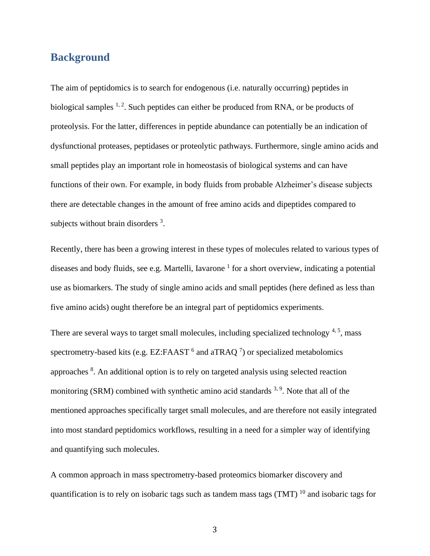### **Background**

The aim of peptidomics is to search for endogenous (i.e. naturally occurring) peptides in biological samples  $1, 2$ . Such peptides can either be produced from RNA, or be products of proteolysis. For the latter, differences in peptide abundance can potentially be an indication of dysfunctional proteases, peptidases or proteolytic pathways. Furthermore, single amino acids and small peptides play an important role in homeostasis of biological systems and can have functions of their own. For example, in body fluids from probable Alzheimer's disease subjects there are detectable changes in the amount of free amino acids and dipeptides compared to subjects without brain disorders <sup>3</sup>.

Recently, there has been a growing interest in these types of molecules related to various types of diseases and body fluids, see e.g. Martelli, Iavarone<sup>1</sup> for a short overview, indicating a potential use as biomarkers. The study of single amino acids and small peptides (here defined as less than five amino acids) ought therefore be an integral part of peptidomics experiments.

There are several ways to target small molecules, including specialized technology<sup>4,5</sup>, mass spectrometry-based kits (e.g. EZ:FAAST  $^6$  and aTRAQ  $^7$ ) or specialized metabolomics approaches <sup>8</sup>. An additional option is to rely on targeted analysis using selected reaction monitoring (SRM) combined with synthetic amino acid standards <sup>3, 9</sup>. Note that all of the mentioned approaches specifically target small molecules, and are therefore not easily integrated into most standard peptidomics workflows, resulting in a need for a simpler way of identifying and quantifying such molecules.

A common approach in mass spectrometry-based proteomics biomarker discovery and quantification is to rely on isobaric tags such as tandem mass tags  $(TMT)^{10}$  and isobaric tags for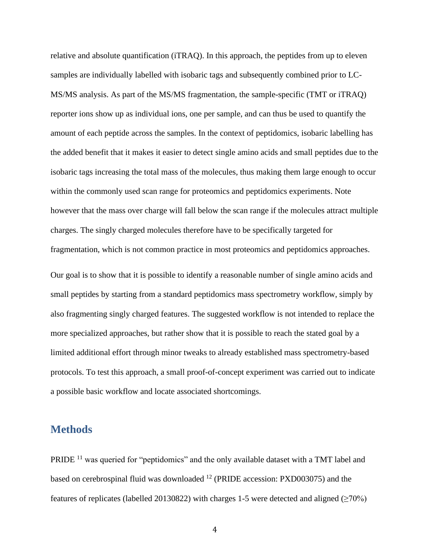relative and absolute quantification (iTRAQ). In this approach, the peptides from up to eleven samples are individually labelled with isobaric tags and subsequently combined prior to LC-MS/MS analysis. As part of the MS/MS fragmentation, the sample-specific (TMT or iTRAQ) reporter ions show up as individual ions, one per sample, and can thus be used to quantify the amount of each peptide across the samples. In the context of peptidomics, isobaric labelling has the added benefit that it makes it easier to detect single amino acids and small peptides due to the isobaric tags increasing the total mass of the molecules, thus making them large enough to occur within the commonly used scan range for proteomics and peptidomics experiments. Note however that the mass over charge will fall below the scan range if the molecules attract multiple charges. The singly charged molecules therefore have to be specifically targeted for fragmentation, which is not common practice in most proteomics and peptidomics approaches.

Our goal is to show that it is possible to identify a reasonable number of single amino acids and small peptides by starting from a standard peptidomics mass spectrometry workflow, simply by also fragmenting singly charged features. The suggested workflow is not intended to replace the more specialized approaches, but rather show that it is possible to reach the stated goal by a limited additional effort through minor tweaks to already established mass spectrometry-based protocols. To test this approach, a small proof-of-concept experiment was carried out to indicate a possible basic workflow and locate associated shortcomings.

### **Methods**

PRIDE<sup>11</sup> was queried for "peptidomics" and the only available dataset with a TMT label and based on cerebrospinal fluid was downloaded <sup>12</sup> (PRIDE accession: PXD003075) and the features of replicates (labelled 20130822) with charges 1-5 were detected and aligned ( $\geq$ 70%)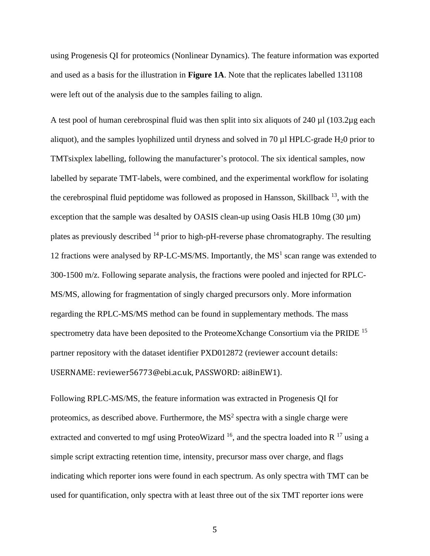using Progenesis QI for proteomics (Nonlinear Dynamics). The feature information was exported and used as a basis for the illustration in **Figure 1A**. Note that the replicates labelled 131108 were left out of the analysis due to the samples failing to align.

A test pool of human cerebrospinal fluid was then split into six aliquots of 240 µl (103.2µg each aliquot), and the samples lyophilized until dryness and solved in 70 µl HPLC-grade H20 prior to TMTsixplex labelling, following the manufacturer's protocol. The six identical samples, now labelled by separate TMT-labels, were combined, and the experimental workflow for isolating the cerebrospinal fluid peptidome was followed as proposed in Hansson, Skillback  $^{13}$ , with the exception that the sample was desalted by OASIS clean-up using Oasis HLB  $10mg (30 \mu m)$ plates as previously described  $^{14}$  prior to high-pH-reverse phase chromatography. The resulting 12 fractions were analysed by RP-LC-MS/MS. Importantly, the  $MS<sup>1</sup>$  scan range was extended to 300-1500 m/z. Following separate analysis, the fractions were pooled and injected for RPLC-MS/MS, allowing for fragmentation of singly charged precursors only. More information regarding the RPLC-MS/MS method can be found in supplementary methods. The mass spectrometry data have been deposited to the ProteomeXchange Consortium via the PRIDE <sup>15</sup> partner repository with the dataset identifier PXD012872 (reviewer account details: USERNAME: reviewer56773@ebi.ac.uk, PASSWORD: ai8inEW1).

Following RPLC-MS/MS, the feature information was extracted in Progenesis QI for proteomics, as described above. Furthermore, the  $MS<sup>2</sup>$  spectra with a single charge were extracted and converted to mgf using ProteoWizard  $^{16}$ , and the spectra loaded into R  $^{17}$  using a simple script extracting retention time, intensity, precursor mass over charge, and flags indicating which reporter ions were found in each spectrum. As only spectra with TMT can be used for quantification, only spectra with at least three out of the six TMT reporter ions were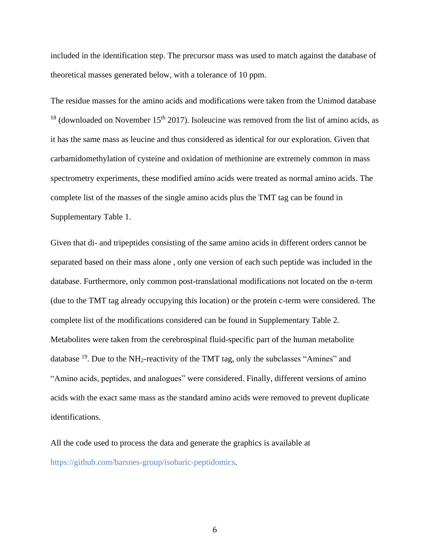included in the identification step. The precursor mass was used to match against the database of theoretical masses generated below, with a tolerance of 10 ppm.

The residue masses for the amino acids and modifications were taken from the Unimod database  $18$  (downloaded on November 15<sup>th</sup> 2017). Isoleucine was removed from the list of amino acids, as it has the same mass as leucine and thus considered as identical for our exploration. Given that carbamidomethylation of cysteine and oxidation of methionine are extremely common in mass spectrometry experiments, these modified amino acids were treated as normal amino acids. The complete list of the masses of the single amino acids plus the TMT tag can be found in Supplementary Table 1.

Given that di- and tripeptides consisting of the same amino acids in different orders cannot be separated based on their mass alone , only one version of each such peptide was included in the database. Furthermore, only common post-translational modifications not located on the n-term (due to the TMT tag already occupying this location) or the protein c-term were considered. The complete list of the modifications considered can be found in Supplementary Table 2. Metabolites were taken from the cerebrospinal fluid-specific part of the human metabolite database  $^{19}$ . Due to the NH<sub>2</sub>-reactivity of the TMT tag, only the subclasses "Amines" and "Amino acids, peptides, and analogues" were considered. Finally, different versions of amino acids with the exact same mass as the standard amino acids were removed to prevent duplicate identifications.

All the code used to process the data and generate the graphics is available at [https://github.com/barsnes-group/isobaric-peptidomics.](https://github.com/barsnes-group/isobaric-peptidomics)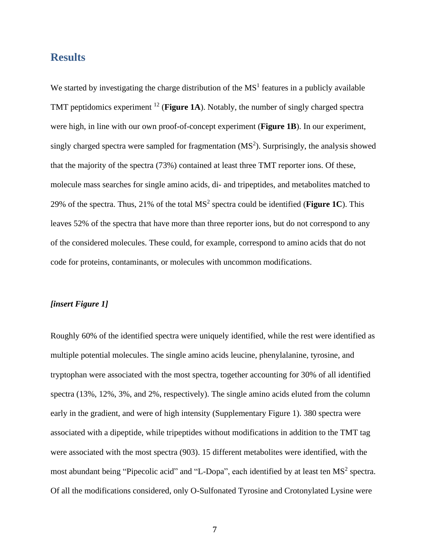### **Results**

We started by investigating the charge distribution of the  $MS<sup>1</sup>$  features in a publicly available TMT peptidomics experiment <sup>12</sup> (**Figure 1A**). Notably, the number of singly charged spectra were high, in line with our own proof-of-concept experiment (**Figure 1B**). In our experiment, singly charged spectra were sampled for fragmentation  $(MS<sup>2</sup>)$ . Surprisingly, the analysis showed that the majority of the spectra (73%) contained at least three TMT reporter ions. Of these, molecule mass searches for single amino acids, di- and tripeptides, and metabolites matched to 29% of the spectra. Thus, 21% of the total  $MS<sup>2</sup>$  spectra could be identified (**Figure 1C**). This leaves 52% of the spectra that have more than three reporter ions, but do not correspond to any of the considered molecules. These could, for example, correspond to amino acids that do not code for proteins, contaminants, or molecules with uncommon modifications.

#### *[insert Figure 1]*

Roughly 60% of the identified spectra were uniquely identified, while the rest were identified as multiple potential molecules. The single amino acids leucine, phenylalanine, tyrosine, and tryptophan were associated with the most spectra, together accounting for 30% of all identified spectra (13%, 12%, 3%, and 2%, respectively). The single amino acids eluted from the column early in the gradient, and were of high intensity (Supplementary Figure 1). 380 spectra were associated with a dipeptide, while tripeptides without modifications in addition to the TMT tag were associated with the most spectra (903). 15 different metabolites were identified, with the most abundant being "Pipecolic acid" and "L-Dopa", each identified by at least ten  $MS<sup>2</sup>$  spectra. Of all the modifications considered, only O-Sulfonated Tyrosine and Crotonylated Lysine were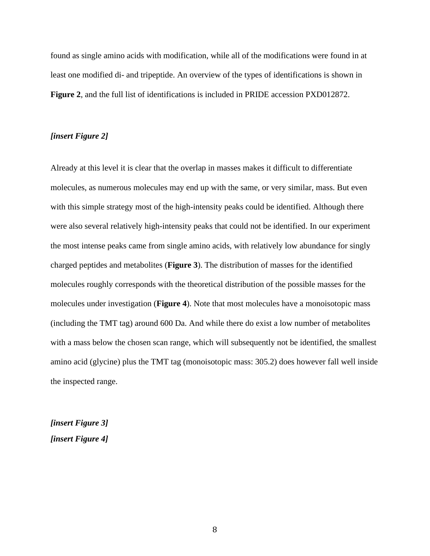found as single amino acids with modification, while all of the modifications were found in at least one modified di- and tripeptide. An overview of the types of identifications is shown in **Figure 2**, and the full list of identifications is included in PRIDE accession PXD012872.

#### *[insert Figure 2]*

Already at this level it is clear that the overlap in masses makes it difficult to differentiate molecules, as numerous molecules may end up with the same, or very similar, mass. But even with this simple strategy most of the high-intensity peaks could be identified. Although there were also several relatively high-intensity peaks that could not be identified. In our experiment the most intense peaks came from single amino acids, with relatively low abundance for singly charged peptides and metabolites (**Figure 3**). The distribution of masses for the identified molecules roughly corresponds with the theoretical distribution of the possible masses for the molecules under investigation (**Figure 4**). Note that most molecules have a monoisotopic mass (including the TMT tag) around 600 Da. And while there do exist a low number of metabolites with a mass below the chosen scan range, which will subsequently not be identified, the smallest amino acid (glycine) plus the TMT tag (monoisotopic mass: 305.2) does however fall well inside the inspected range.

*[insert Figure 3] [insert Figure 4]*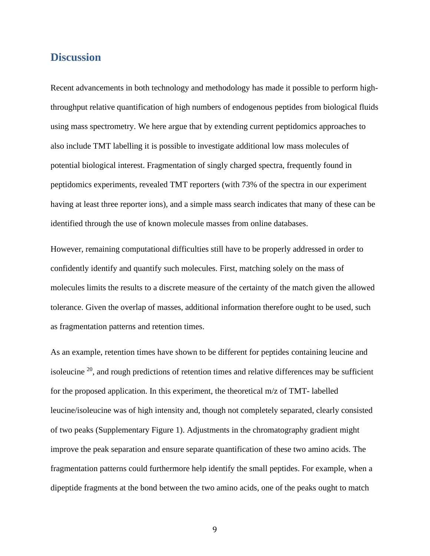### **Discussion**

Recent advancements in both technology and methodology has made it possible to perform highthroughput relative quantification of high numbers of endogenous peptides from biological fluids using mass spectrometry. We here argue that by extending current peptidomics approaches to also include TMT labelling it is possible to investigate additional low mass molecules of potential biological interest. Fragmentation of singly charged spectra, frequently found in peptidomics experiments, revealed TMT reporters (with 73% of the spectra in our experiment having at least three reporter ions), and a simple mass search indicates that many of these can be identified through the use of known molecule masses from online databases.

However, remaining computational difficulties still have to be properly addressed in order to confidently identify and quantify such molecules. First, matching solely on the mass of molecules limits the results to a discrete measure of the certainty of the match given the allowed tolerance. Given the overlap of masses, additional information therefore ought to be used, such as fragmentation patterns and retention times.

As an example, retention times have shown to be different for peptides containing leucine and isoleucine  $20$ , and rough predictions of retention times and relative differences may be sufficient for the proposed application. In this experiment, the theoretical m/z of TMT- labelled leucine/isoleucine was of high intensity and, though not completely separated, clearly consisted of two peaks (Supplementary Figure 1). Adjustments in the chromatography gradient might improve the peak separation and ensure separate quantification of these two amino acids. The fragmentation patterns could furthermore help identify the small peptides. For example, when a dipeptide fragments at the bond between the two amino acids, one of the peaks ought to match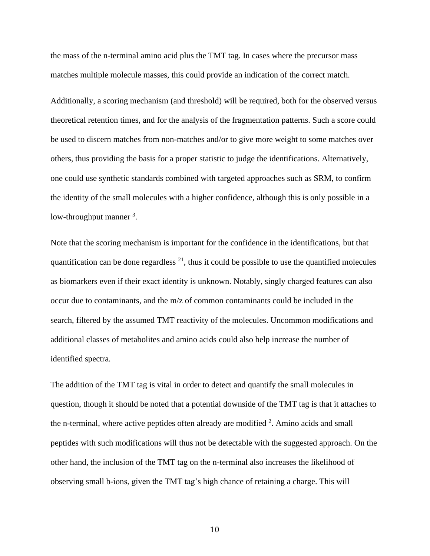the mass of the n-terminal amino acid plus the TMT tag. In cases where the precursor mass matches multiple molecule masses, this could provide an indication of the correct match.

Additionally, a scoring mechanism (and threshold) will be required, both for the observed versus theoretical retention times, and for the analysis of the fragmentation patterns. Such a score could be used to discern matches from non-matches and/or to give more weight to some matches over others, thus providing the basis for a proper statistic to judge the identifications. Alternatively, one could use synthetic standards combined with targeted approaches such as SRM, to confirm the identity of the small molecules with a higher confidence, although this is only possible in a low-throughput manner <sup>3</sup>.

Note that the scoring mechanism is important for the confidence in the identifications, but that quantification can be done regardless  $^{21}$ , thus it could be possible to use the quantified molecules as biomarkers even if their exact identity is unknown. Notably, singly charged features can also occur due to contaminants, and the m/z of common contaminants could be included in the search, filtered by the assumed TMT reactivity of the molecules. Uncommon modifications and additional classes of metabolites and amino acids could also help increase the number of identified spectra.

The addition of the TMT tag is vital in order to detect and quantify the small molecules in question, though it should be noted that a potential downside of the TMT tag is that it attaches to the n-terminal, where active peptides often already are modified  $2$ . Amino acids and small peptides with such modifications will thus not be detectable with the suggested approach. On the other hand, the inclusion of the TMT tag on the n-terminal also increases the likelihood of observing small b-ions, given the TMT tag's high chance of retaining a charge. This will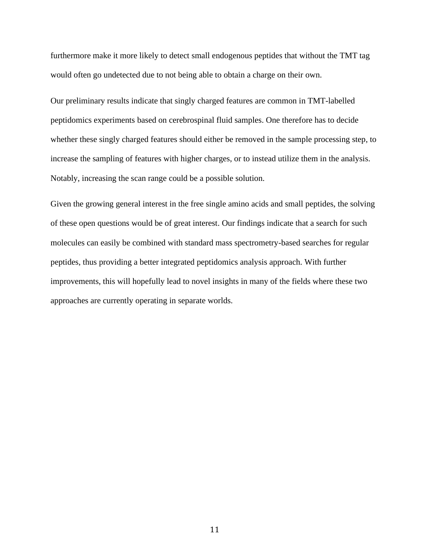furthermore make it more likely to detect small endogenous peptides that without the TMT tag would often go undetected due to not being able to obtain a charge on their own.

Our preliminary results indicate that singly charged features are common in TMT-labelled peptidomics experiments based on cerebrospinal fluid samples. One therefore has to decide whether these singly charged features should either be removed in the sample processing step, to increase the sampling of features with higher charges, or to instead utilize them in the analysis. Notably, increasing the scan range could be a possible solution.

Given the growing general interest in the free single amino acids and small peptides, the solving of these open questions would be of great interest. Our findings indicate that a search for such molecules can easily be combined with standard mass spectrometry-based searches for regular peptides, thus providing a better integrated peptidomics analysis approach. With further improvements, this will hopefully lead to novel insights in many of the fields where these two approaches are currently operating in separate worlds.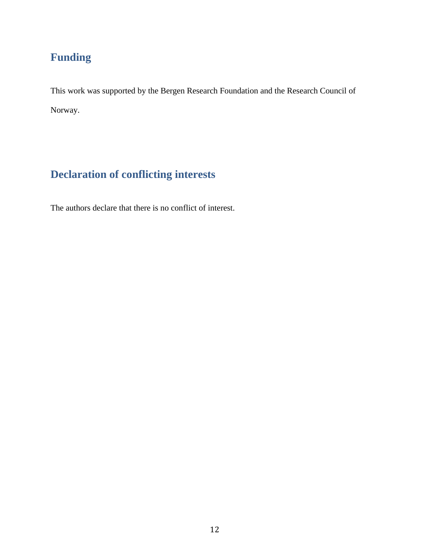## **Funding**

This work was supported by the Bergen Research Foundation and the Research Council of Norway.

# **Declaration of conflicting interests**

The authors declare that there is no conflict of interest.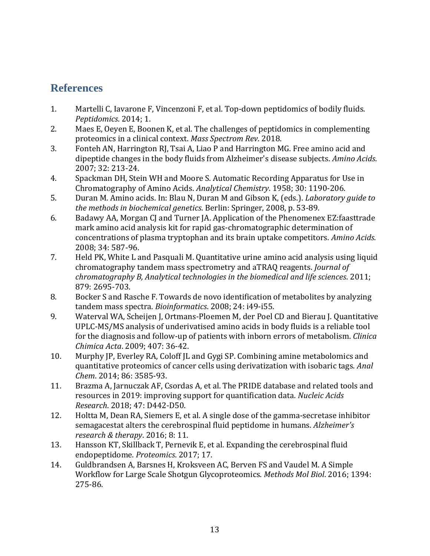## **References**

- 1. Martelli C, Iavarone F, Vincenzoni F, et al. Top-down peptidomics of bodily fluids. *Peptidomics*. 2014; 1.
- 2. Maes E, Oeyen E, Boonen K, et al. The challenges of peptidomics in complementing proteomics in a clinical context. *Mass Spectrom Rev*. 2018.
- 3. Fonteh AN, Harrington RJ, Tsai A, Liao P and Harrington MG. Free amino acid and dipeptide changes in the body fluids from Alzheimer's disease subjects. *Amino Acids*. 2007; 32: 213-24.
- 4. Spackman DH, Stein WH and Moore S. Automatic Recording Apparatus for Use in Chromatography of Amino Acids. *Analytical Chemistry*. 1958; 30: 1190-206.
- 5. Duran M. Amino acids. In: Blau N, Duran M and Gibson K, (eds.). *Laboratory guide to the methods in biochemical genetics*. Berlin: Springer, 2008, p. 53-89.
- 6. Badawy AA, Morgan CJ and Turner JA. Application of the Phenomenex EZ:faasttrade mark amino acid analysis kit for rapid gas-chromatographic determination of concentrations of plasma tryptophan and its brain uptake competitors. *Amino Acids*. 2008; 34: 587-96.
- 7. Held PK, White L and Pasquali M. Quantitative urine amino acid analysis using liquid chromatography tandem mass spectrometry and aTRAQ reagents. *Journal of chromatography B, Analytical technologies in the biomedical and life sciences*. 2011; 879: 2695-703.
- 8. Bocker S and Rasche F. Towards de novo identification of metabolites by analyzing tandem mass spectra. *Bioinformatics*. 2008; 24: i49-i55.
- 9. Waterval WA, Scheijen J, Ortmans-Ploemen M, der Poel CD and Bierau J. Quantitative UPLC-MS/MS analysis of underivatised amino acids in body fluids is a reliable tool for the diagnosis and follow-up of patients with inborn errors of metabolism. *Clinica Chimica Acta*. 2009; 407: 36-42.
- 10. Murphy JP, Everley RA, Coloff JL and Gygi SP. Combining amine metabolomics and quantitative proteomics of cancer cells using derivatization with isobaric tags. *Anal Chem*. 2014; 86: 3585-93.
- 11. Brazma A, Jarnuczak AF, Csordas A, et al. The PRIDE database and related tools and resources in 2019: improving support for quantification data. *Nucleic Acids Research*. 2018; 47: D442-D50.
- 12. Holtta M, Dean RA, Siemers E, et al. A single dose of the gamma-secretase inhibitor semagacestat alters the cerebrospinal fluid peptidome in humans. *Alzheimer's research & therapy*. 2016; 8: 11.
- 13. Hansson KT, Skillback T, Pernevik E, et al. Expanding the cerebrospinal fluid endopeptidome. *Proteomics*. 2017; 17.
- 14. Guldbrandsen A, Barsnes H, Kroksveen AC, Berven FS and Vaudel M. A Simple Workflow for Large Scale Shotgun Glycoproteomics. *Methods Mol Biol*. 2016; 1394: 275-86.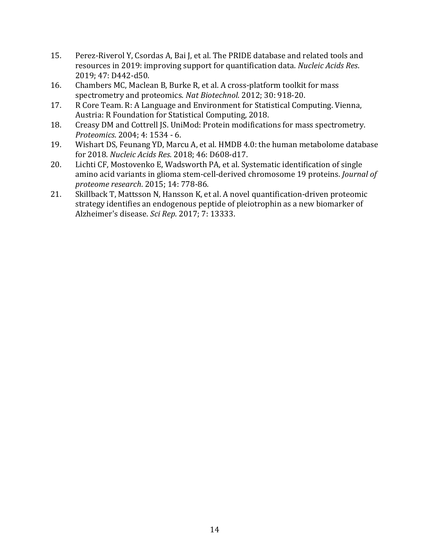- 15. Perez-Riverol Y, Csordas A, Bai J, et al. The PRIDE database and related tools and resources in 2019: improving support for quantification data. *Nucleic Acids Res*. 2019; 47: D442-d50.
- 16. Chambers MC, Maclean B, Burke R, et al. A cross-platform toolkit for mass spectrometry and proteomics. *Nat Biotechnol*. 2012; 30: 918-20.
- 17. R Core Team. R: A Language and Environment for Statistical Computing. Vienna, Austria: R Foundation for Statistical Computing, 2018.
- 18. Creasy DM and Cottrell JS. UniMod: Protein modifications for mass spectrometry. *Proteomics*. 2004; 4: 1534 - 6.
- 19. Wishart DS, Feunang YD, Marcu A, et al. HMDB 4.0: the human metabolome database for 2018. *Nucleic Acids Res*. 2018; 46: D608-d17.
- 20. Lichti CF, Mostovenko E, Wadsworth PA, et al. Systematic identification of single amino acid variants in glioma stem-cell-derived chromosome 19 proteins. *Journal of proteome research*. 2015; 14: 778-86.
- 21. Skillback T, Mattsson N, Hansson K, et al. A novel quantification-driven proteomic strategy identifies an endogenous peptide of pleiotrophin as a new biomarker of Alzheimer's disease. *Sci Rep*. 2017; 7: 13333.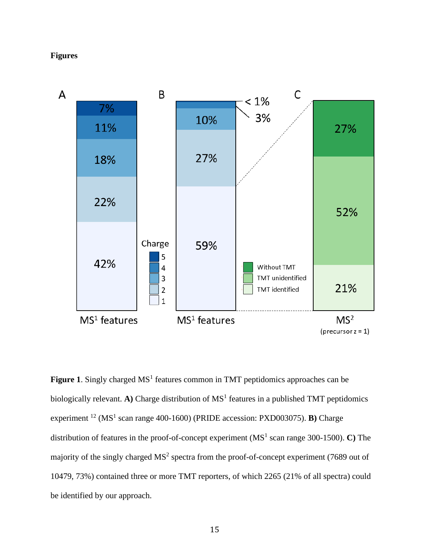### **Figures**



Figure 1. Singly charged MS<sup>1</sup> features common in TMT peptidomics approaches can be biologically relevant. A) Charge distribution of  $MS<sup>1</sup>$  features in a published TMT peptidomics experiment <sup>12</sup> (MS<sup>1</sup> scan range 400-1600) (PRIDE accession: PXD003075). **B**) Charge distribution of features in the proof-of-concept experiment (MS<sup>1</sup> scan range 300-1500). **C**) The majority of the singly charged  $MS<sup>2</sup>$  spectra from the proof-of-concept experiment (7689 out of 10479, 73%) contained three or more TMT reporters, of which 2265 (21% of all spectra) could be identified by our approach.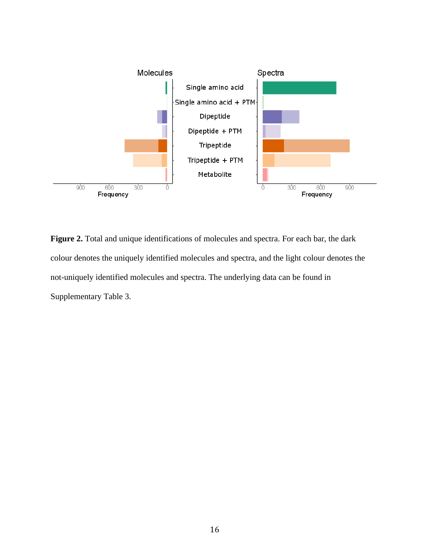

**Figure 2.** Total and unique identifications of molecules and spectra. For each bar, the dark colour denotes the uniquely identified molecules and spectra, and the light colour denotes the not-uniquely identified molecules and spectra. The underlying data can be found in Supplementary Table 3.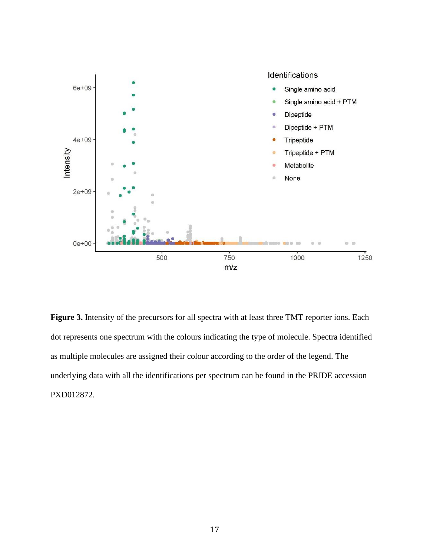

Figure 3. Intensity of the precursors for all spectra with at least three TMT reporter ions. Each dot represents one spectrum with the colours indicating the type of molecule. Spectra identified as multiple molecules are assigned their colour according to the order of the legend. The underlying data with all the identifications per spectrum can be found in the PRIDE accession PXD012872.